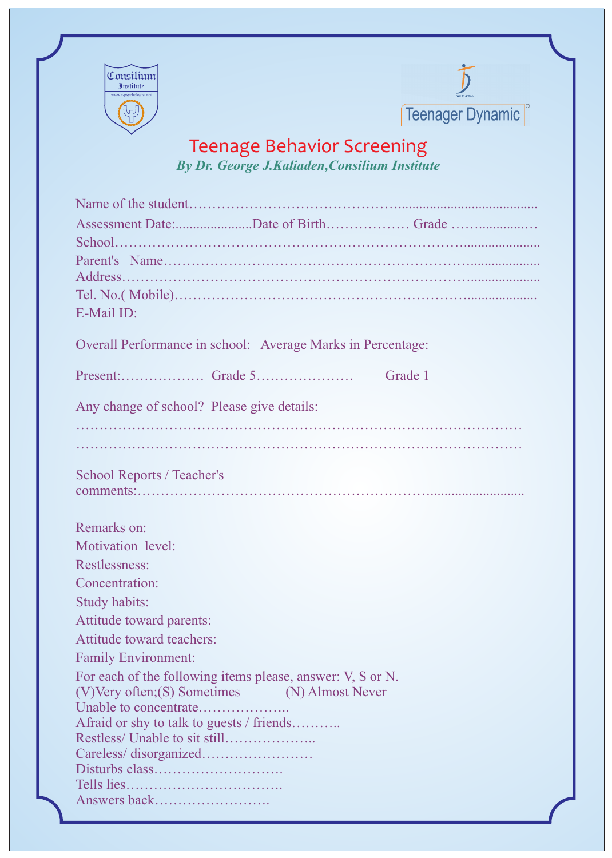



## Teenage Behavior Screening *By Dr. George J.Kaliaden,Consilium Institute*

| E-Mail ID:                                                             |
|------------------------------------------------------------------------|
| Overall Performance in school: Average Marks in Percentage:            |
|                                                                        |
| Grade 1                                                                |
| Any change of school? Please give details:                             |
|                                                                        |
|                                                                        |
|                                                                        |
| <b>School Reports / Teacher's</b>                                      |
|                                                                        |
|                                                                        |
| Remarks on:                                                            |
| Motivation level:                                                      |
| Restlessness:                                                          |
| Concentration:                                                         |
| Study habits:                                                          |
| Attitude toward parents:                                               |
| Attitude toward teachers:                                              |
| <b>Family Environment:</b>                                             |
| For each of the following items please, answer: V, S or N.             |
| (V)Very often; (S) Sometimes (N) Almost Never<br>Unable to concentrate |
| Afraid or shy to talk to guests / friends                              |
|                                                                        |
|                                                                        |
|                                                                        |
|                                                                        |
| Answers back                                                           |